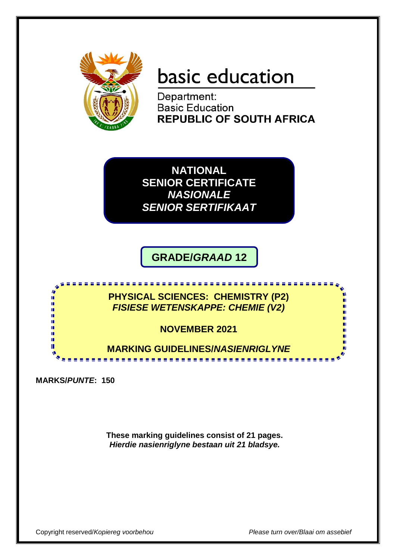

# basic education

Department: **Basic Education REPUBLIC OF SOUTH AFRICA** 

**NATIONAL SENIOR CERTIFICATE** *NASIONALE SENIOR SERTIFIKAAT*

**GRADE/***GRAAD* **12**

<u>................</u>

**PHYSICAL SCIENCES: CHEMISTRY (P2)** *FISIESE WETENSKAPPE: CHEMIE (V2)*

**NOVEMBER 2021**

-----------------------------

**MARKING GUIDELINES/***NASIENRIGLYNE*

**MARKS/***PUNTE***: 150**

т T.

œ

**These marking guidelines consist of 21 pages.** *Hierdie nasienriglyne bestaan uit 21 bladsye.*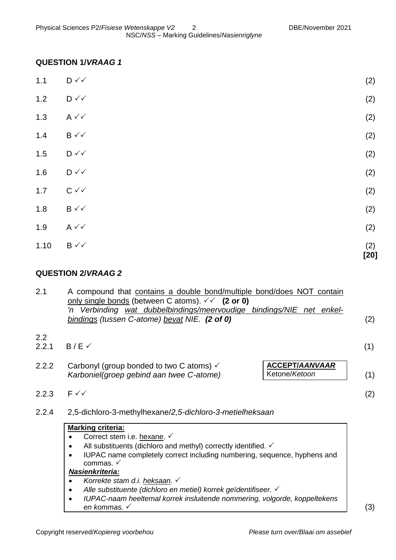# **QUESTION 1/***VRAAG 1*

| 1.10  | $B \vee \vee$                | (2)<br>$[20]$ |
|-------|------------------------------|---------------|
| 1.9   | $A \vee C$                   | (2)           |
| $1.8$ | $B \vee\checkmark$           | (2)           |
| 1.7   | $C \vee C$                   | (2)           |
| 1.6   | $\mathsf{D} \curvearrowleft$ | (2)           |
| 1.5   | $\mathsf{D} \curvearrowleft$ | (2)           |
| $1.4$ | $B \vee \vee$                | (2)           |
| 1.3   | $A \vee C$                   | (2)           |
| 1.2   | $\mathsf{D} \curvearrowleft$ | (2)           |
| $1.1$ | $\mathsf{D} \curvearrowleft$ | (2)           |

# **QUESTION 2/***VRAAG 2*

| 2.1          | A compound that contains a double bond/multiple bond/does NOT contain<br>only single bonds (between C atoms). $\checkmark$ (2 or 0)<br>'n Verbinding wat dubbelbindings/meervoudige bindings/NIE net enkel-<br>bindings (tussen C-atome) bevat NIE. (2 of 0)                                                                                                                                                                                      | (2) |  |  |  |
|--------------|---------------------------------------------------------------------------------------------------------------------------------------------------------------------------------------------------------------------------------------------------------------------------------------------------------------------------------------------------------------------------------------------------------------------------------------------------|-----|--|--|--|
| 2.2<br>2.2.1 | $B/E \checkmark$                                                                                                                                                                                                                                                                                                                                                                                                                                  | (1) |  |  |  |
| 2.2.2        | <b>ACCEPT/AANVAAR</b><br>Carbonyl (group bonded to two C atoms) $\checkmark$<br>Ketone/Ketoon<br>Karboniel(groep gebind aan twee C-atome)                                                                                                                                                                                                                                                                                                         | (1) |  |  |  |
| 2.2.3        | $F \checkmark$                                                                                                                                                                                                                                                                                                                                                                                                                                    | (2) |  |  |  |
| 2.2.4        | 2,5-dichloro-3-methylhexane/2,5-dichloro-3-metielheksaan                                                                                                                                                                                                                                                                                                                                                                                          |     |  |  |  |
|              | <b>Marking criteria:</b><br>Correct stem i.e. hexane. ✓<br>All substituents (dichloro and methyl) correctly identified. $\checkmark$<br>IUPAC name completely correct including numbering, sequence, hyphens and<br>commas. √<br>Nasienkriteria:<br>Korrekte stam d.i. heksaan. ✓<br>Alle substituente (dichloro en metiel) korrek geïdentifiseer. √<br>IUPAC-naam heeltemal korrek insluitende nommering, volgorde, koppeltekens<br>en kommas. √ | (3) |  |  |  |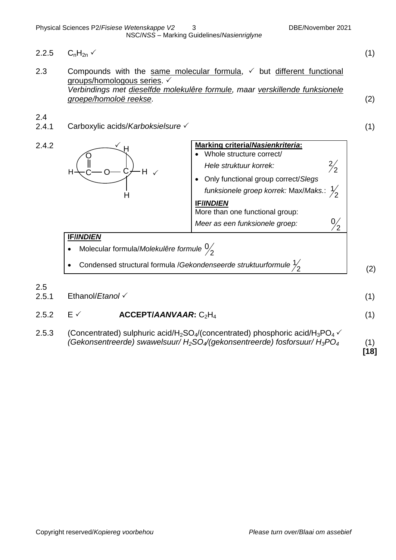- 2.2.5  $C_nH_{2n}$  (1) 2.3 Compounds with the same molecular formula,  $\checkmark$  but different functional groups/homologous series. *Verbindings met dieselfde molekulêre formule, maar verskillende funksionele groepe/homoloë reekse.* (2) 2.4 2.4.1 Carboxylic acids/*Karboksielsure* (1) 2.4.2 **Marking criteria/***Nasienkriteria***:** Whole structure correct/ *Hele struktuur korrek:*  2 2 Only functional group correct/*Slegs funksionele groep korrek:* Max/*Maks.*: 2 1 **IF/***INDIEN* More than one functional group: *Meer as een funksionele groep:*  2 0 **IF/***INDIEN* Molecular formula/*Molekulêre formule* 2 0  $\bullet$   $\,$  Condensed structural formula /*Gekondenseerde struktuurformule*  $\frac{1}{2}$ 1 (2) 2.5 2.5.1 Ethanol/*Etanol* (1) 2.5.2  $E \checkmark$  **ACCEPT/***AANVAAR*: C<sub>2</sub>H<sub>4</sub> (1)  $\checkmark$  $C$ —O—C $\neq$ H $\checkmark$ O H H C H H
- 2.5.3 (Concentrated) sulphuric acid/H<sub>2</sub>SO<sub>4</sub>/(concentrated) phosphoric acid/H<sub>3</sub>PO<sub>4</sub> $\checkmark$ *(Gekonsentreerde) swawelsuur/ H2SO4/(gekonsentreerde) fosforsuur/ H3PO<sup>4</sup>* (1)

**[18]**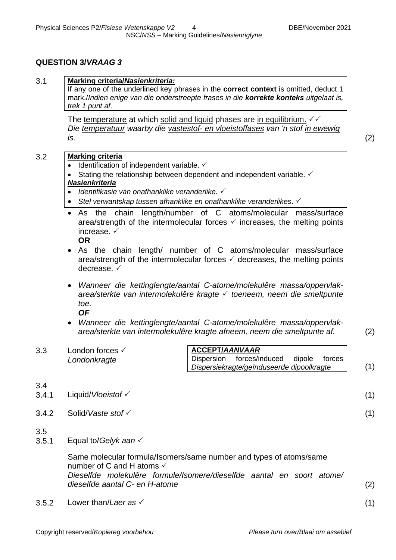## **QUESTION 3/***VRAAG 3*

| 3.1          | <u>Marking criteria/Nasienkriteria:</u><br>If any one of the underlined key phrases in the correct context is omitted, deduct 1<br>mark./Indien enige van die onderstreepte frases in die korrekte konteks uitgelaat is,<br>trek 1 punt af.                                                                                                                                                                                                                                                                                                                                                                                                                                                                                                                                                                                                                                                                                                                                                                       |  |  |  |  |
|--------------|-------------------------------------------------------------------------------------------------------------------------------------------------------------------------------------------------------------------------------------------------------------------------------------------------------------------------------------------------------------------------------------------------------------------------------------------------------------------------------------------------------------------------------------------------------------------------------------------------------------------------------------------------------------------------------------------------------------------------------------------------------------------------------------------------------------------------------------------------------------------------------------------------------------------------------------------------------------------------------------------------------------------|--|--|--|--|
|              | The temperature at which solid and liquid phases are in equilibrium. $\checkmark\checkmark$<br>Die temperatuur waarby die vastestof- en vloeistoffases van 'n stof in ewewig<br>(2)<br>is.                                                                                                                                                                                                                                                                                                                                                                                                                                                                                                                                                                                                                                                                                                                                                                                                                        |  |  |  |  |
| 3.2          | <b>Marking criteria</b><br>• Identification of independent variable. $\checkmark$<br>Stating the relationship between dependent and independent variable. ✓<br><b>Nasienkriteria</b><br>Identifikasie van onafhanklike veranderlike. √<br>$\bullet$<br>• Stel verwantskap tussen afhanklike en onafhanklike veranderlikes. $\checkmark$<br>As the chain length/number of C atoms/molecular mass/surface<br>$\bullet$<br>area/strength of the intermolecular forces $\checkmark$ increases, the melting points<br>increase. $\checkmark$<br><b>OR</b><br>As the chain length/ number of C atoms/molecular mass/surface<br>area/strength of the intermolecular forces $\checkmark$ decreases, the melting points<br>decrease. $\checkmark$<br>Wanneer die kettinglengte/aantal C-atome/molekulêre massa/oppervlak-<br>$\bullet$<br>area/sterkte van intermolekulêre kragte √ toeneem, neem die smeltpunte<br>toe.<br><b>OF</b><br>Wanneer die kettinglengte/aantal C-atome/molekulêre massa/oppervlak-<br>$\bullet$ |  |  |  |  |
|              | area/sterkte van intermolekulêre kragte afneem, neem die smeltpunte af.<br>(2)                                                                                                                                                                                                                                                                                                                                                                                                                                                                                                                                                                                                                                                                                                                                                                                                                                                                                                                                    |  |  |  |  |
| 3.3          | <b>ACCEPT/AANVAAR</b><br>London forces √<br>forces/induced<br>Dispersion<br>dipole<br>forces<br>Londonkragte<br>(1)<br>Dispersiekragte/geïnduseerde dipoolkragte                                                                                                                                                                                                                                                                                                                                                                                                                                                                                                                                                                                                                                                                                                                                                                                                                                                  |  |  |  |  |
| 3.4<br>3.4.1 | Liquid/Vloeistof √<br>(1)                                                                                                                                                                                                                                                                                                                                                                                                                                                                                                                                                                                                                                                                                                                                                                                                                                                                                                                                                                                         |  |  |  |  |
| 3.4.2        | Solid/Vaste stof √<br>(1)                                                                                                                                                                                                                                                                                                                                                                                                                                                                                                                                                                                                                                                                                                                                                                                                                                                                                                                                                                                         |  |  |  |  |
| 3.5<br>3.5.1 | Equal to/Gelyk aan $\checkmark$                                                                                                                                                                                                                                                                                                                                                                                                                                                                                                                                                                                                                                                                                                                                                                                                                                                                                                                                                                                   |  |  |  |  |
|              | Same molecular formula/Isomers/same number and types of atoms/same<br>number of C and H atoms $\checkmark$<br>Dieselfde molekulêre formule/Isomere/dieselfde aantal en soort atome/<br>dieselfde aantal C- en H-atome<br>(2)                                                                                                                                                                                                                                                                                                                                                                                                                                                                                                                                                                                                                                                                                                                                                                                      |  |  |  |  |

3.5.2 Lower than/*Laer as*  $\checkmark$  (1)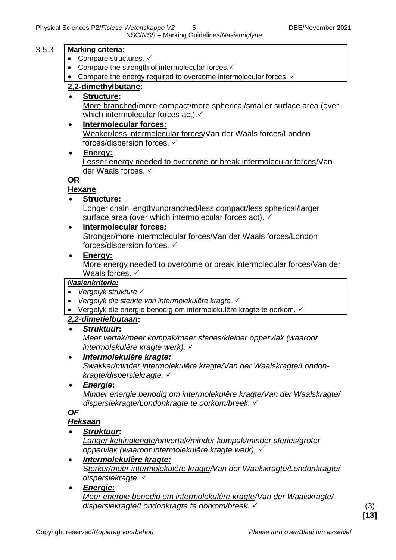|       | NSC/NSS - Marking Guidelines/Nasienriglyne                                     |
|-------|--------------------------------------------------------------------------------|
| 3.5.3 | <b>Marking criteria:</b>                                                       |
|       | Compare structures. $\checkmark$                                               |
|       | Compare the strength of intermolecular forces. ✓                               |
|       | Compare the energy required to overcome intermolecular forces. $\checkmark$    |
|       | 2,2-dimethylbutane:                                                            |
|       | <b>Structure:</b>                                                              |
|       | More branched/more compact/more spherical/smaller surface area (over           |
|       | which intermolecular forces act).                                              |
|       | Intermolecular forces:<br>$\bullet$                                            |
|       | Weaker/less intermolecular forces/Van der Waals forces/London                  |
|       | forces/dispersion forces. ✓                                                    |
|       | Energy:<br>Lesser energy needed to overcome or break intermolecular forces/Van |
|       | der Waals forces. ✓                                                            |
|       | <b>OR</b>                                                                      |
|       | <b>Hexane</b>                                                                  |
|       | <b>Structure:</b>                                                              |
|       | Longer chain length/unbranched/less compact/less spherical/larger              |
|       | surface area (over which intermolecular forces act). ✓                         |
|       | Intermolecular forces:<br>٠                                                    |
|       | Stronger/more intermolecular forces/Van der Waals forces/London                |
|       | forces/dispersion forces. ✓                                                    |
|       | Energy:<br>$\bullet$                                                           |
|       | More energy needed to overcome or break intermolecular forces/Van der          |
|       | Waals forces. $\checkmark$                                                     |
|       | <b>Nasienkriteria:</b><br>Vergelyk strukture √<br>$\bullet$                    |
|       | Vergelyk die sterkte van intermolekulêre kragte. V<br>$\bullet$                |
|       | Vergelyk die energie benodig om intermolekulêre kragte te oorkom. V            |
|       | 2,2-dimetielbutaan:                                                            |
|       | <u>Struktuur:</u>                                                              |
|       | Meer vertak/meer kompak/meer sferies/kleiner oppervlak (waaroor                |
|       | intermolekulêre kragte werk). $\checkmark$                                     |
|       | Intermolekulêre kragte:<br>٠                                                   |
|       | Swakker/minder intermolekulêre kragte/Van der Waalskragte/London-              |
|       | kragte/dispersiekragte. ✓                                                      |
|       | <b>Energie:</b>                                                                |
|       | Minder energie benodig om intermolekulêre kragte/Van der Waalskragte/          |
|       | dispersiekragte/Londonkragte te oorkom/breek. V                                |
|       | <b>OF</b><br>Heksaan                                                           |
|       | Struktuur:                                                                     |
|       |                                                                                |

*Langer kettinglengte/onvertak/minder kompak/minder sferies/groter oppervlak (waaroor intermolekulêre kragte werk).* 

- *Intermolekulêre kragte:* S*terker/meer intermolekulêre kragte/Van der Waalskragte/Londonkragte/ dispersiekragte.*
- *Energie***:** *Meer energie benodig om intermolekulêre kragte/Van der Waalskragte/ dispersiekragte/Londonkragte te oorkom/breek.*  (3)

**[13]**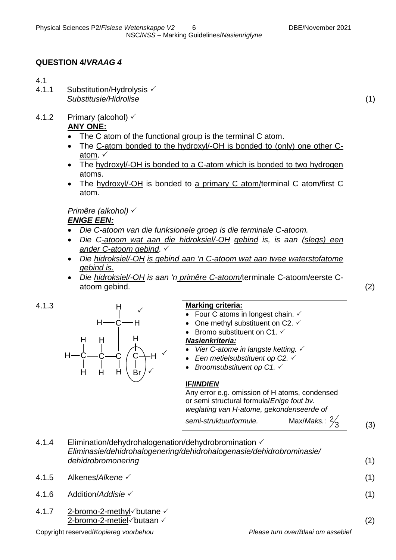## **QUESTION 4/***VRAAG 4*

#### 4.1

- 4.1.1 Substitution/Hydrolysis  $\checkmark$ *Substitusie/Hidrolise* (1)
- 4.1.2 Primary (alcohol)  $\checkmark$

## **ANY ONE:**

- The C atom of the functional group is the terminal C atom.
- The C-atom bonded to the hydroxyl/-OH is bonded to (only) one other Catom.  $\checkmark$
- The hydroxyl/-OH is bonded to a C-atom which is bonded to two hydrogen atoms.
- The hydroxyl/-OH is bonded to a primary C atom/terminal C atom/first C atom.

*Primêre (alkohol) ENIGE EEN:*

- *Die C-atoom van die funksionele groep is die terminale C-atoom.*
- *Die C-atoom wat aan die hidroksiel/-OH gebind is, is aan (slegs) een ander C-atoom gebind.*
- *Die hidroksiel/-OH is gebind aan 'n C-atoom wat aan twee waterstofatome gebind is.*
- *Die hidroksiel/-OH is aan 'n primêre C-atoom/*terminale C-atoom/eerste Catoom gebind. (2)



#### 4.1.3 **Marking criteria:**

- Four C atoms in longest chain.  $\checkmark$
- One methyl substituent on C2.  $\checkmark$
- Bromo substituent on  $C1.$   $\checkmark$

# *Nasienkriteria:*

- *Vier C-atome in langste ketting.*
- Een metielsubstituent op C2. √
- *Broomsubstituent op C1.*  $\checkmark$

# **IF/***INDIEN*

Any error e.g. omission of H atoms, condensed or semi structural formula/*Enige fout bv. weglating van H-atome, gekondenseerde of semi-struktuurformule.* Max/*Maks.*: 2

(3)

3

4.1.4 Elimination/dehydrohalogenation/dehydrobromination  $\checkmark$ *Eliminasie/dehidrohalogenering/dehidrohalogenasie/dehidrobrominasie/ dehidrobromonering* (1) 4.1.5 Alkenes/*Alkene* (1) 4.1.6 Addition/*Addisie* (1) 4.1.7 2-bromo-2-methyl $\checkmark$  butane  $\checkmark$  $2$ -bromo-2-metiel $\checkmark$ butaan  $\checkmark$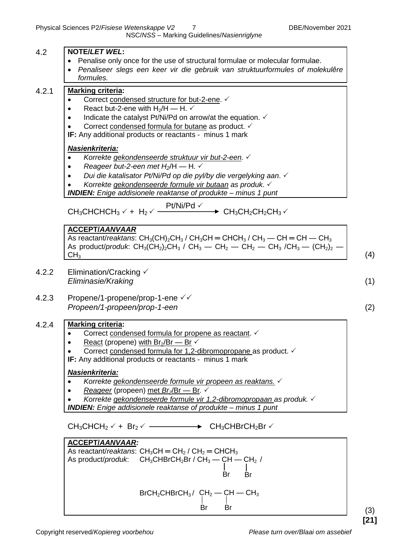| 4.2   | <b>NOTE/LET WEL:</b>                                                                                                                                                                                                                                                                                                                                                                                                                                                                                                                                                     |     |
|-------|--------------------------------------------------------------------------------------------------------------------------------------------------------------------------------------------------------------------------------------------------------------------------------------------------------------------------------------------------------------------------------------------------------------------------------------------------------------------------------------------------------------------------------------------------------------------------|-----|
|       | Penalise only once for the use of structural formulae or molecular formulae.<br>$\bullet$<br>Penaliseer slegs een keer vir die gebruik van struktuurformules of molekulêre<br>$\bullet$<br>formules.                                                                                                                                                                                                                                                                                                                                                                     |     |
| 4.2.1 | <b>Marking criteria:</b><br>Correct condensed structure for but-2-ene. ✓<br>$\bullet$<br>React but-2-ene with $H_2/H - H$ . $\checkmark$<br>٠<br>Indicate the catalyst Pt/Ni/Pd on arrow/at the equation. ✓<br>٠<br>Correct condensed formula for butane as product. ✓<br>IF: Any additional products or reactants - minus 1 mark                                                                                                                                                                                                                                        |     |
|       | <b>Nasienkriteria:</b><br>Korrekte gekondenseerde struktuur vir but-2-een. V<br>Reageer but-2-een met $H_2/H$ - H. $\checkmark$<br>٠<br>Dui die katalisator Pt/Ni/Pd op die pyl/by die vergelyking aan. √<br>Korrekte gekondenseerde formule vir butaan as produk. √<br><b>INDIEN:</b> Enige addisionele reaktanse of produkte - minus 1 punt                                                                                                                                                                                                                            |     |
|       | $Pt/Ni/Pd \checkmark$<br>$CH_3CHCHCH_3 \vee + H_2 \vee \frac{1}{\sqrt{1.25}}$<br>$\rightarrow$ CH <sub>3</sub> CH <sub>2</sub> CH <sub>2</sub> CH <sub>3</sub> $\checkmark$                                                                                                                                                                                                                                                                                                                                                                                              |     |
|       | <b>ACCEPT/AANVAAR</b><br>As reactant/reaktans: $CH_3(CH)_2CH_3$ / $CH_3CH = CHCH_3$ / $CH_3$ — CH = CH — CH <sub>3</sub><br>As product/produk: $CH_3(CH_2)_2CH_3$ / $CH_3$ — $CH_2$ — $CH_2$ — $CH_3$ / $CH_3$ — $(CH_2)_2$ -<br>CH <sub>3</sub>                                                                                                                                                                                                                                                                                                                         | (4) |
| 4.2.2 | Elimination/Cracking $\checkmark$<br>Eliminasie/Kraking                                                                                                                                                                                                                                                                                                                                                                                                                                                                                                                  | (1) |
| 4.2.3 | Propene/1-propene/prop-1-ene √√<br>Propeen/1-propeen/prop-1-een                                                                                                                                                                                                                                                                                                                                                                                                                                                                                                          | (2) |
| 4.2.4 | <b>Marking criteria:</b><br>Correct condensed formula for propene as reactant. V<br>React (propene) with $Br_2/Br$ - Br $\checkmark$<br>Correct condensed formula for 1,2-dibromopropane as product. $\checkmark$<br><b>IF:</b> Any additional products or reactants - minus 1 mark<br>Nasienkriteria:<br>Korrekte gekondenseerde formule vir propeen as reaktans.<br>Reageer (propeen) met $Br_2/Br$ - Br. $\checkmark$<br>Korrekte gekondenseerde formule vir 1,2-dibromopropaan as produk. V<br><b>INDIEN:</b> Enige addisionele reaktanse of produkte - minus 1 punt |     |
|       | $CH_3CHCH_2 \vee + Br_2 \vee$ $\longrightarrow$ $CH_3CHBrCH_2Br \vee$                                                                                                                                                                                                                                                                                                                                                                                                                                                                                                    |     |
|       | <b>ACCEPT/AANVAAR:</b><br>As reactant/reaktans: $CH_3CH = CH_2 / CH_2 = CHCH_3$<br>As product/produk: $CH_3CHBrCH_2Br / CH_3 \rightarrow CH \rightarrow CH_2 /$<br> <br>Br<br><b>Br</b>                                                                                                                                                                                                                                                                                                                                                                                  |     |
|       | $BrCH_2CHBrCH_3/$ $CH_2$ - $CH - CH_3$<br><br>Br<br><b>Br</b>                                                                                                                                                                                                                                                                                                                                                                                                                                                                                                            | (3) |

**[21]**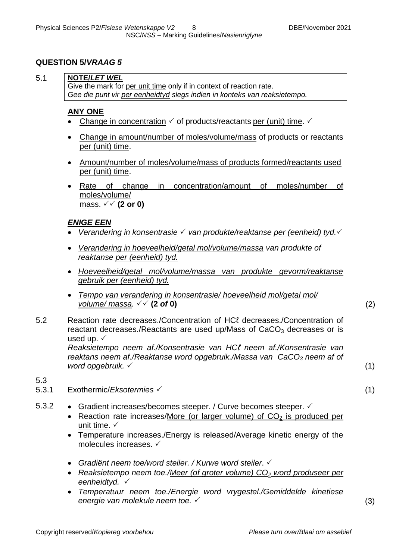## **QUESTION 5/***VRAAG 5*

## 5.1 **NOTE/***LET WEL*

Give the mark for per unit time only if in context of reaction rate. *Gee die punt vir per eenheidtyd slegs indien in konteks van reaksietempo.*

## **ANY ONE**

- Change in concentration  $\checkmark$  of products/reactants per (unit) time.  $\checkmark$
- Change in amount/number of moles/volume/mass of products or reactants per (unit) time.
- Amount/number of moles/volume/mass of products formed/reactants used per (unit) time.
- Rate of change in concentration/amount of moles/number of moles/volume/ mass.  $\sqrt{\sqrt{2}}$  or 0)

## *ENIGE EEN*

- Verandering in konsentrasie √ van produkte/reaktanse per (eenheid) tyd. √
- *Verandering in hoeveelheid/getal mol/volume/massa van produkte of reaktanse per (eenheid) tyd.*
- *Hoeveelheid/getal mol/volume/massa van produkte gevorm/reaktanse gebruik per (eenheid) tyd.*
- *Tempo van verandering in konsentrasie/ hoeveelheid mol/getal mol/*   $volume/massa.$   $\checkmark$  (2 of 0) (2)
- 5.2 Reaction rate decreases./Concentration of HCℓ decreases./Concentration of reactant decreases./Reactants are used up/Mass of  $CaCO<sub>3</sub>$  decreases or is used up.  $\checkmark$

*Reaksietempo neem af./Konsentrasie van HCℓ neem af./Konsentrasie van reaktans neem af./Reaktanse word opgebruik./Massa van CaCO<sup>3</sup> neem af of word opgebruik.* (1)

#### 5.3

- 5.3.1 Exothermic/*Eksotermies* (1)
- 5.3.2 Gradient increases/becomes steeper. / Curve becomes steeper.  $\checkmark$ 
	- Reaction rate increases/More (or larger volume) of  $CO<sub>2</sub>$  is produced per unit time.  $\checkmark$
	- Temperature increases./Energy is released/Average kinetic energy of the molecules increases.
	- *Gradiënt neem toe/word steiler. / Kurwe word steiler*.
	- *Reaksietempo neem toe./Meer (of groter volume) CO<sup>2</sup> word produseer per eenheidtyd.*
	- *Temperatuur neem toe./Energie word vrygestel./Gemiddelde kinetiese energie van molekule neem toe.* (3)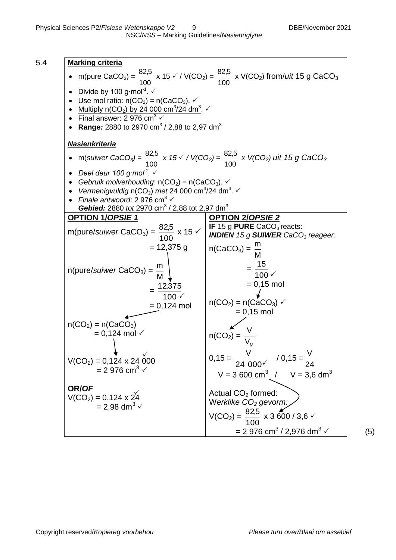5.4 **Marking criteria** • m(pure  $CaCO<sub>3</sub>$ ) = 100  $\frac{82,5}{100}$  x 15  $\checkmark$  / V(CO<sub>2</sub>) = 100  $\frac{82.5}{100}$  x V(CO<sub>2</sub>) from/*uit* 15 g CaCO<sub>3</sub> • Divide by 100 g·mol<sup>-1</sup>.  $\checkmark$ • Use mol ratio:  $n(CO_2) = n(CaCO_3)$ . • Multiply n(CO<sub>2</sub>) by 24 000 cm<sup>3</sup>/24 dm<sup>3</sup>.  $\checkmark$ • Final answer: 2 976 cm<sup>3</sup>  $\checkmark$ • Range*:* 2880 to 2970 cm<sup>3</sup> / 2,88 to 2,97 dm<sup>3</sup> *Nasienkriteria* m(*suiwer CaCO3) =*  100  $\frac{82,5}{100}$  *x* 15  $\checkmark$  /  $V(CO_2)$  = 100 82,5 *x V(CO2) uit 15 g CaCO<sup>3</sup> Deel deur 100 g∙mol-1 .*  • Gebruik molverhouding:  $n(CO_2) = n(CaCO_3)$ . • Vermenigvuldig  $n(CO_2)$  met 24 000 cm<sup>3</sup>/24 dm<sup>3</sup>.  $\checkmark$ *Finale antwoord*: 2 976 cm<sup>3</sup> √ **Gebied:** 2880 tot 2970 cm<sup>3</sup> / 2,88 tot 2,97 dm<sup>3</sup> **OPTION 1/***OPSIE 1* m(pure/*suiwer* CaCO3) = 100  $\frac{82,5}{100}$  x 15 √  $= 12,375$  g n(pure/*suiwer* CaCO<sub>3</sub>) = M m = 100 $\checkmark$  $=\frac{12,375}{1}$  $= 0,124$  mol  $n(CO_2) = n(CaCO_3)$  $= 0.124$  mol  $\checkmark$  $V(CO_2) = 0,124 \times 24,000$  $= 2976 \text{ cm}^3$ **OR/***OF*  $V(CO_2) = 0,124 \times 24$  $= 2.98$  dm<sup>3</sup>  $\checkmark$ **OPTION 2/***OPSIE 2* **IF** 15 g **PURE** CaCO<sub>3</sub> reacts: *INDIEN 15 g SUIWER CaCO<sup>3</sup> reageer:*  $n(CaCO<sub>3</sub>) =$ M m  $=$ 100 15  $= 0,15$  mol  $n(CO_2) = n(CaCO_3)$  $= 0.15$  mol  $n(CO_2) = \frac{1}{2}$  $\Lambda_{\rm M}$ V  $0,15 =$ 24 000  $\frac{V}{2.28}$  / 0,15 = 24 V  $V = 3600 \text{ cm}^3$  /  $V = 3.6 \text{ dm}^3$ Actual  $CO<sub>2</sub>$  formed: W*erklike CO<sup>2</sup> gevorm:*  $V(CO_2) =$ 100  $\frac{82,5}{100}$  x 3 600 / 3,6  $\checkmark$  $= 2.976$  cm<sup>3</sup> / 2,976 dm<sup>3</sup>  $\checkmark$  (5)  $\frac{\sqrt{2}}{2}$  $\checkmark$  $\checkmark$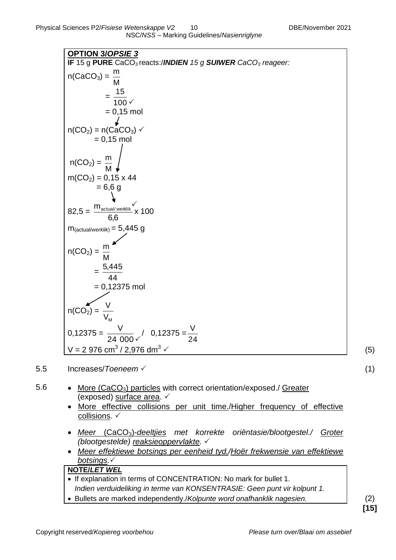| <b>OPTION 3/OPSIE 3</b>                                                                      |     |
|----------------------------------------------------------------------------------------------|-----|
| IF 15 g PURE CaCO <sub>3</sub> reacts:/ <b>INDIEN</b> 15 g SUIWER CaCO <sub>3</sub> reageer: |     |
| $n(CaCO3) = \frac{m}{\sqrt{2}}$                                                              |     |
|                                                                                              |     |
| $=\frac{15}{100}$                                                                            |     |
|                                                                                              |     |
| $= 0,15$ mol                                                                                 |     |
| $n(CO_2) = n(CaCO_3)$ $\checkmark$                                                           |     |
| $= 0,15$ mol                                                                                 |     |
|                                                                                              |     |
|                                                                                              |     |
| $n(CO_2) = \frac{m}{M}$                                                                      |     |
| $m(CO2) = 0,15 \times 44$                                                                    |     |
| $= 6,6 g$                                                                                    |     |
|                                                                                              |     |
| $82,5 = \frac{m_{\text{actual/werklik}}}{6,6}$ x 100                                         |     |
|                                                                                              |     |
| $m_{(actual/werklik)} = 5,445$ g                                                             |     |
|                                                                                              |     |
| $n(CO_2) =$                                                                                  |     |
|                                                                                              |     |
| $=\frac{5,445}{44}$                                                                          |     |
| $= 0,12375$ mol                                                                              |     |
|                                                                                              |     |
|                                                                                              |     |
| $n(CO_2) = \frac{1}{V_M}$                                                                    |     |
|                                                                                              |     |
| $0,12375 = \frac{V}{24,000}$ / $0,12375 = \frac{V}{24}$                                      |     |
| V = 2 976 cm <sup>3</sup> / 2,976 dm <sup>3</sup> $\checkmark$                               |     |
|                                                                                              | (5) |

- 5.5 Increases/*Toeneem*  (1)
- 5.6 More (CaCO<sub>3</sub>) particles with correct orientation/exposed./ Greater (exposed) surface area.  $\checkmark$ 
	- More effective collisions per unit time./Higher frequency of effective collisions. ✓
	- *Meer* (CaCO3)-*deeltjies met korrekte oriëntasie/blootgestel./ Groter (blootgestelde) reaksieoppervlakte.*
	- *Meer effektiewe botsings per eenheid tyd./Hoër frekwensie van effektiewe botsings.*

## **NOTE/***LET WEL*

- $\overline{\bullet}$  If explanation in terms of CONCENTRATION: No mark for bullet 1. *Indien verduideliking in terme van KONSENTRASIE: Geen punt vir kolpunt 1.*
- Bullets are marked independently./*Kolpunte word onafhanklik nagesien.* (2)

**[15]**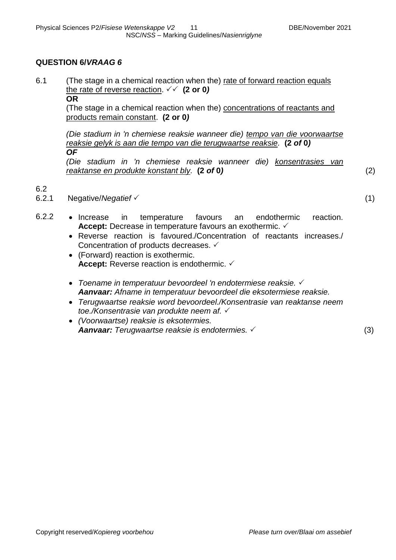## **QUESTION 6/***VRAAG 6*

6.1 (The stage in a chemical reaction when the) rate of forward reaction equals the rate of reverse reaction.  $\checkmark\checkmark$  (2 or 0)

## **OR**

(The stage in a chemical reaction when the) concentrations of reactants and products remain constant. **(2 or 0***)*

*(Die stadium in 'n chemiese reaksie wanneer die) tempo van die voorwaartse reaksie gelyk is aan die tempo van die terugwaartse reaksie.* **(2** *of* **0***) OF*

*(Die stadium in 'n chemiese reaksie wanneer die) konsentrasies van reaktanse en produkte konstant bly.* **(2** *of* **0***)* (2)

6.2

6.2.1 Negative/*Negatief* (1)

- 6.2.2 Increase in temperature favours an endothermic reaction. **Accept:** Decrease in temperature favours an exothermic.
	- Reverse reaction is favoured./Concentration of reactants increases./ Concentration of products decreases. ✓
	- (Forward) reaction is exothermic. **Accept:** Reverse reaction is endothermic.
	- *Toename in temperatuur bevoordeel 'n endotermiese reaksie. Aanvaar: Afname in temperatuur bevoordeel die eksotermiese reaksie.*
	- *Terugwaartse reaksie word bevoordeel./Konsentrasie van reaktanse neem toe./Konsentrasie van produkte neem af.*
	- *(Voorwaartse) reaksie is eksotermies. Aanvaar: Terugwaartse reaksie is endotermies.* (3)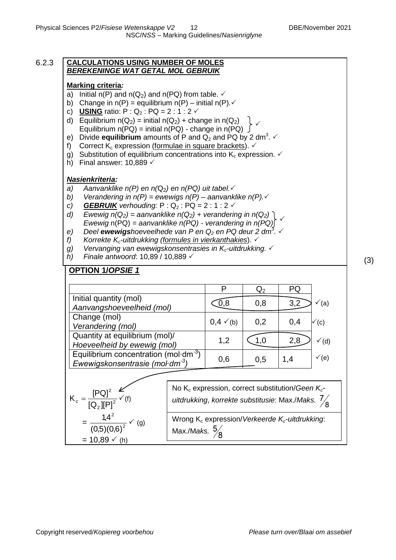#### 6.2.3 **CALCULATIONS USING NUMBER OF MOLES** *BEREKENINGE WAT GETAL MOL GEBRUIK*

#### **Marking criteria***:*

- a) Initial  $n(P)$  and  $n(Q_2)$  and  $n(PQ)$  from table.  $\checkmark$
- b) Change in  $n(P)$  = equilibrium  $n(P)$  initial  $n(P) \cdot \checkmark$
- c) **USING** ratio:  $P: Q_2: PQ = 2: 1: 2 \checkmark$
- d) Equilibrium  $n(Q_2) = \text{initial } n(Q_2) + \text{change in } n(Q_2)$ Equilibrium  $n(PQ) = \text{initial } n(PQ) - \text{change in } n(PQ) \int$  $\checkmark$
- e) Divide **equilibrium** amounts of P and  $Q_2$  and PQ by 2 dm<sup>3</sup>.  $\checkmark$
- f) Correct  $K_c$  expression (formulae in square brackets).  $\checkmark$
- g) Substitution of equilibrium concentrations into  $K_c$  expression.  $\checkmark$
- h) Final answer:  $10,889 \checkmark$

#### *Nasienkriteria:*

- *a)* Aanvanklike  $n(P)$  en  $n(Q_2)$  en  $n(PQ)$  uit tabel. $\checkmark$
- *b) Verandering in n(P) = ewewigs n(P) – aanvanklike n(P).*
- *c*) *GEBRUIK* verhouding:  $P: Q_2: PQ = 2:1:2$
- *d) Ewewig*  $n(Q_2)$  = aanvanklike  $n(Q_2)$  + verandering in  $n(Q_2)$  ] *Ewewig* n(PQ) *= aanvanklike n(PQ) - verandering in n(PQ)*  $\checkmark$
- *e) Deel ewewigshoeveelhede van P en Q<sup>2</sup> en PQ deur 2 dm<sup>3</sup> .*
- *f) Korrekte Kc-uitdrukking (formules in vierkanthakies*).
- *g) Vervanging van ewewigskonsentrasies in Kc-uitdrukking.*
- *h) Finale antwoord*: 10,89 / 10,889 √ (3)

## **OPTION 1/***OPSIE 1*

|                                                                              | D                    | $Q_2$ | PQ  |                  |
|------------------------------------------------------------------------------|----------------------|-------|-----|------------------|
| Initial quantity (mol)<br>Aanvangshoeveelheid (mol)                          |                      | 0,8   | 3,2 | (a)              |
| Change (mol)<br>Verandering (mol)                                            | $0,4 \checkmark$ (b) | 0,2   | 0,4 | $\checkmark$ (c) |
| Quantity at equilibrium (mol)/<br>Hoeveelheid by ewewig (mol)                | 1,2                  |       | 2,8 | $\checkmark$ (d) |
| Equilibrium concentration (mol $dm^{-3}$ )<br>Ewewigskonsentrasie (mol·dm-3) | 0,6                  | 0.5   | 1,4 | $\checkmark$ (e) |

$$
K_c = \frac{[PQ]^2}{[Q_2][P]^2} \checkmark
$$
  
= 
$$
\frac{1,4^2}{(0,5)(0,6)^2} \checkmark
$$
 (g)  
= 10,89  $\checkmark$  (h)

No K<sub>c</sub> expression, correct substitution/*Geen K<sub>c</sub>uitdrukking*, *korrekte substitusie*: Max./*Maks.* 

Wrong K<sub>c</sub> expression/*Verkeerde K<sub>c</sub>-uitdrukking*: Max./M*aks.*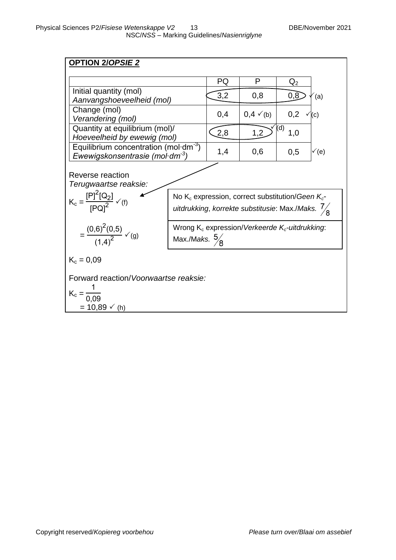| <u>OPTION 2/OPSIE 2</u>                                                                                                                                                                                                                                                             |  |     |                      |                     |  |  |
|-------------------------------------------------------------------------------------------------------------------------------------------------------------------------------------------------------------------------------------------------------------------------------------|--|-----|----------------------|---------------------|--|--|
|                                                                                                                                                                                                                                                                                     |  | PQ  | P                    | $\mathsf{Q}_2$      |  |  |
| Initial quantity (mol)                                                                                                                                                                                                                                                              |  | 3,2 | 0,8                  | 0,8<br>(a)          |  |  |
| Aanvangshoeveelheid (mol)<br>Change (mol)                                                                                                                                                                                                                                           |  |     |                      |                     |  |  |
| Verandering (mol)                                                                                                                                                                                                                                                                   |  | 0,4 | $0,4 \checkmark$ (b) | 0,2<br>(c)          |  |  |
| Quantity at equilibrium (mol)/<br>Hoeveelheid by ewewig (mol)                                                                                                                                                                                                                       |  | 2,8 | 1,2                  | $\sqrt{(d)}$<br>1,0 |  |  |
| Equilibrium concentration (mol $dm^{-3}$ )<br>Ewewigskonsentrasie (mol $dm-3$ )                                                                                                                                                                                                     |  | 1,4 | 0,6                  | 0,5<br>√(e)         |  |  |
| Reverse reaction<br>Terugwaartse reaksie:<br>$K_c = \frac{[P]^2[Q_2]}{[P \cap I^2]} \checkmark(f)$<br>No $K_c$ expression, correct substitution/Geen $K_c$ -<br>uitdrukking, korrekte substitusie: Max./Maks. $\frac{7}{8}$<br>Wrong $K_c$ expression/Verkeerde $K_c$ -uitdrukking: |  |     |                      |                     |  |  |
| $=\frac{(0,6)^{2}(0,5)}{(1,4)^{2}}\sqrt{9}$<br>Max./Maks. $\frac{5}{8}$                                                                                                                                                                                                             |  |     |                      |                     |  |  |
| $K_c = 0.09$                                                                                                                                                                                                                                                                        |  |     |                      |                     |  |  |
| Forward reaction/Voorwaartse reaksie:<br>$K_c = \frac{1}{0.09}$                                                                                                                                                                                                                     |  |     |                      |                     |  |  |
| $= 10,89 \vee (h)$                                                                                                                                                                                                                                                                  |  |     |                      |                     |  |  |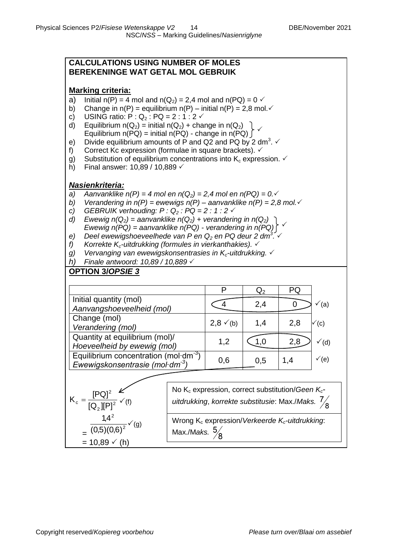#### **CALCULATIONS USING NUMBER OF MOLES BEREKENINGE WAT GETAL MOL GEBRUIK**

## **Marking criteria:**

- a) Initial n(P) = 4 mol and n(Q<sub>2</sub>) = 2,4 mol and n(PQ) = 0  $\checkmark$ <br>b) Change in n(P) = equilibrium n(P) initial n(P) = 2.8 mol
- Change in  $n(P)$  = equilibrium  $n(P)$  initial  $n(P)$  = 2,8 mol.
- c) USING ratio:  $P: Q_2 : PQ = 2 : 1 : 2 \checkmark$
- d) Equilibrium  $n(Q_2) = \text{initial } n(Q_2) + \text{change in } n(Q_2)$ Equilibrium  $n(PQ) = \text{initial } n(PQ) - \text{change in } n(PQ)$  $\checkmark$
- e) Divide equilibrium amounts of P and Q2 and PQ by 2 dm<sup>3</sup>.  $\checkmark$
- f) Correct Kc expression (formulae in square brackets).  $\checkmark$
- g) Substitution of equilibrium concentrations into  $K_c$  expression.  $\checkmark$
- h) Final answer:  $10,89 / 10,889 \checkmark$

## *Nasienkriteria:*

- *a*) *Aanvanklike n(P) = 4 mol en n(Q<sub>2</sub>) = 2,4 mol en n(PQ) = 0.* $\checkmark$
- *b) Verandering in n(P) = ewewigs n(P) – aanvanklike n(P) = 2,8 mol.*
- *c) GEBRUIK verhouding: P : Q<sup>2</sup> : PQ = 2 : 1 : 2*
- *d) Ewewig*  $n(Q_2)$  = aanvanklike  $n(Q_2)$  + verandering in  $n(Q_2)$  ) *Ewewig n(PQ) = aanvanklike n(PQ) - verandering in n(PQ)*  $\checkmark$
- *e) Deel ewewigshoeveelhede van P en Q<sup>2</sup> en PQ deur 2 dm<sup>3</sup> .*
- *f) Korrekte Kc-uitdrukking (formules in vierkanthakies).*
- *g) Vervanging van ewewigskonsentrasies in Kc-uitdrukking.*
- *h) Finale antwoord: 10,89 / 10,889*

# **OPTION 3/***OPSIE 3*

|                                                                              |                      | $\rm Q_2$ | PQ  |                  |
|------------------------------------------------------------------------------|----------------------|-----------|-----|------------------|
| Initial quantity (mol)<br>Aanvangshoeveelheid (mol)                          |                      | 2,4       |     | ´(a)             |
| Change (mol)<br>Verandering (mol)                                            | $2,8 \checkmark$ (b) | 1,4       | 2,8 | $\checkmark$ (c) |
| Quantity at equilibrium (mol)/<br>Hoeveelheid by ewewig (mol)                | 1,2                  |           | 2,8 | $\checkmark$ (d) |
| Equilibrium concentration (mol $dm^{-3}$ )<br>Ewewigskonsentrasie (mol·dm-3) | 0,6                  | 0.5       | 1.4 | $\checkmark$ (e) |

$$
K_c = \frac{[PQ]^2}{[Q_2][P]^2} \times f(t)
$$
  
= 
$$
\frac{1.4^2}{(0.5)(0.6)^2} \times f(t)
$$
  
= 10.89  $\times$  (h)

No K<sub>c</sub> expression, correct substitution/*Geen K<sub>c</sub>uitdrukking*, *korrekte substitusie*: Max./*Maks.* 

Wrong K<sub>c</sub> expression/*Verkeerde K<sub>c</sub>-uitdrukking*: Max./M*aks.*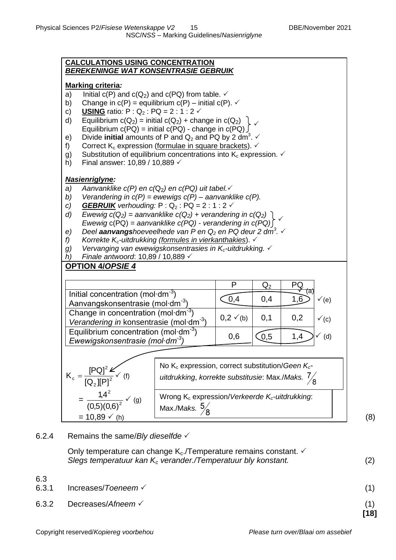

6.2.4 Remains the same/*Bly dieselfde*

Only temperature can change  $K_c$ . Temperature remains constant.  $\checkmark$ *Slegs temperatuur kan K<sup>c</sup> verander./Temperatuur bly konstant.* (2)

6.3 6.3.1 Increases/*Toeneem*  (1) 6.3.2 Decreases/*Afneem*  (1) **[18]**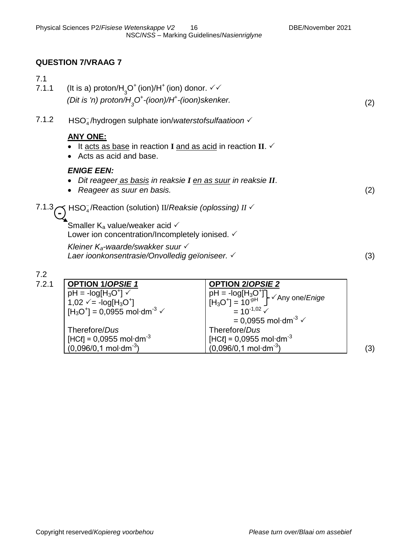# **QUESTION 7/VRAAG 7**

| 7.1                     |                                                                                                         |     |
|-------------------------|---------------------------------------------------------------------------------------------------------|-----|
| 7.1.1                   | (It is a) proton/H <sub>3</sub> O <sup>+</sup> (ion)/H <sup>+</sup> (ion) donor. $\checkmark\checkmark$ |     |
|                         | (Dit is 'n) proton/ $H3O+$ -(ioon)/H <sup>+</sup> -(ioon)skenker.                                       | (2) |
| 7.1.2                   | $HSOa$ /hydrogen sulphate ion/waterstofsulfaatioon $\checkmark$                                         |     |
|                         | <b>ANY ONE:</b>                                                                                         |     |
|                         | It acts as base in reaction I and as acid in reaction II. $\checkmark$<br>• Acts as acid and base.      |     |
|                         | <b>ENIGE EEN:</b>                                                                                       |     |
|                         | Dit reageer as basis in reaksie I en as suur in reaksie II.                                             |     |
|                         | Reageer as suur en basis.                                                                               | (2) |
| 7.1.3<br>$\blacksquare$ | HSO <sub>4</sub> /Reaction (solution) II/Reaksie (oplossing) II √                                       |     |
|                         | Smaller $K_a$ value/weaker acid $\checkmark$                                                            |     |
|                         | Lower ion concentration/Incompletely ionised. $\checkmark$                                              |     |
|                         | Kleiner $K_a$ -waarde/swakker suur $\checkmark$                                                         |     |
|                         | Laer ioonkonsentrasie/Onvolledig geïoniseer. √                                                          | (3) |
| 7.2                     |                                                                                                         |     |

| 7.2.1 | <b>OPTION 1/OPSIE 1</b>                                | <b>OPTION 2/OPSIE 2</b>                                                                                   |     |
|-------|--------------------------------------------------------|-----------------------------------------------------------------------------------------------------------|-----|
|       | $pH = -log[H3O+]$                                      | $\left[\begin{array}{c} pH = -log[H_3O^+]\\ [H_3O^+] = 10^{-pH}\end{array}\right] \sqrt{Any \ one/Enige}$ |     |
|       | 1,02 $\sqrt{ }$ = -log[H <sub>3</sub> O <sup>+</sup> ] |                                                                                                           |     |
|       | $H_3O^+$ = 0,0955 mol·dm <sup>-3</sup> $\checkmark$    | $= 10^{-1.02}$ $\checkmark$                                                                               |     |
|       |                                                        | $= 0.0955$ mol·dm <sup>-3</sup> $\checkmark$                                                              |     |
|       | Therefore/Dus                                          | Therefore/Dus                                                                                             |     |
|       | $'$ [HCℓ] = 0,0955 mol·dm $^{-3}$                      | $[HCI] = 0,0955$ mol·dm <sup>-3</sup>                                                                     |     |
|       | $(0,096/0,1 \text{ mol} \cdot \text{dm}^{3})$          | $(0.096/0, 1 \text{ mol} \cdot \text{dm}^{-3})$                                                           | (3) |
|       |                                                        |                                                                                                           |     |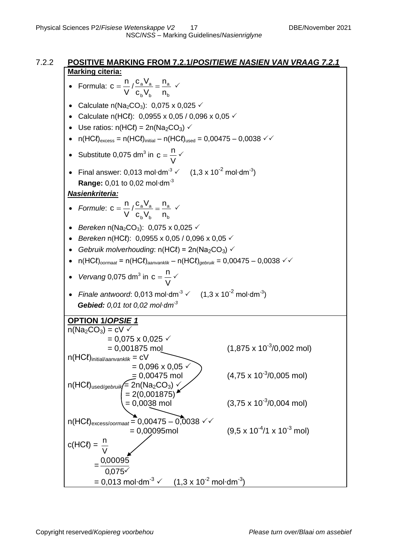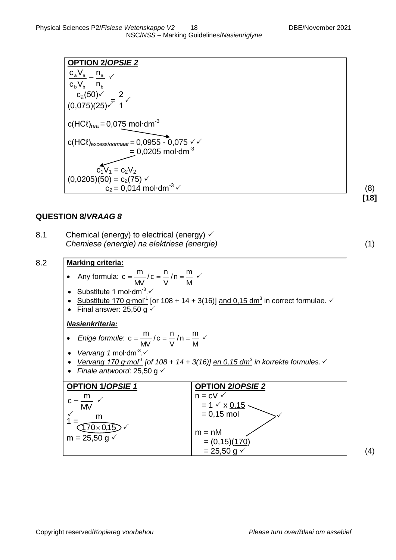**[18]**

| <b>OPTION 2/OPSIE 2</b>                                                                             |     |
|-----------------------------------------------------------------------------------------------------|-----|
| $\frac{c_a V_a}{\underline{a}} = \frac{n_a}{\underline{a}} \sqrt{a}$                                |     |
| $c_b V_b$ <sup>-</sup> $n_b$                                                                        |     |
| $\frac{c_a(50)\sqrt{}}{(0.075)(25)\sqrt{}} = \frac{2}{1}\sqrt{ }$                                   |     |
|                                                                                                     |     |
| c(HCl <sub>rea</sub> = 0,075 mol·dm <sup>-3</sup>                                                   |     |
| $c(HCl)$ <sub>excess/oormaat</sub> = 0,0955 - 0,075 $\checkmark$<br>$= 0,0205$ mol·dm <sup>-3</sup> |     |
| $c_1V_1 = c_2V_2$                                                                                   |     |
| $(0,0205)(50) = c_2(75)$ $\checkmark$                                                               |     |
| $c_2 = 0.014$ mol·dm <sup>-3</sup> $\checkmark$                                                     | (8) |

## **QUESTION 8/***VRAAG 8*

| 8.1 | Chemical (energy) to electrical (energy) $\checkmark$ |  |  |  |
|-----|-------------------------------------------------------|--|--|--|
|     | Chemiese (energie) na elektriese (energie)            |  |  |  |

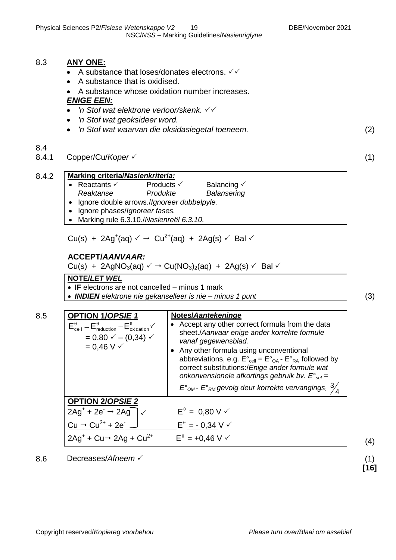## 8.3 **ANY ONE:**

- A substance that loses/donates electrons.  $\checkmark\checkmark$
- A substance that is oxidised.

## A substance whose oxidation number increases.

## *ENIGE EEN:*

- *'n Stof wat elektrone verloor/skenk.*
- *'n Stof wat geoksideer word.*
- *'n Stof wat waarvan die oksidasiegetal toeneem.* (2)

#### 8.4

8.4.1 Copper/Cu/*Koper* (1)

8.4.2 **Marking criteria/***Nasienkriteria:*

- Reactants  $\checkmark$  Products  $\checkmark$  Balancing  $\checkmark$ <br>Reaktanse Produkte Balansering
	- *Reaktanse Produkte Balansering*
	- Ignore double arrows./*Ignoreer dubbelpyle.*
	- Ignore phases/*Ignoreer fases.*
	- Marking rule 6.3.10./*Nasienreël 6.3.10.*

Cu(s) + 2Ag<sup>+</sup>(aq)  $\checkmark$   $\rightarrow$  Cu<sup>2+</sup>(aq) + 2Ag(s)  $\checkmark$  Bal  $\checkmark$ 

#### **ACCEPT/***AANVAAR:*

Cu(s) + 2AgNO<sub>3</sub>(aq)  $\checkmark$   $\rightarrow$  Cu(NO<sub>3</sub>)<sub>2</sub>(aq) + 2Ag(s)  $\checkmark$  Bal  $\checkmark$ 

#### **NOTE/***LET WEL*

- **IF** electrons are not cancelled minus 1 mark
- *INDIEN elektrone nie gekanselleer is nie – minus 1 punt* (3)

8.5 **OPTION 1/***OPSIE 1*  $E_{cell}^{\theta} = E_{reduction}^{\theta} - E_{oxidation}^{\theta} \checkmark$  $= 0,80 \checkmark - (0,34) \checkmark$  $= 0.46 V \checkmark$ **Notes/***Aantekeninge* • Accept any other correct formula from the data sheet./*Aanvaar enige ander korrekte formule vanaf gegewensblad.* Any other formula using unconventional abbreviations, e.g.  $E^{\circ}_{cell} = E^{\circ}_{OA} - E^{\circ}_{RA}$  followed by correct substitutions:/*Enige ander formule wat onkonvensionele afkortings gebruik bv. E°sel = E°OM - E°RM gevolg deur korrekte vervangings:* <sup>4</sup> 3 **OPTION 2/***OPSIE 2*  $2Ag^+ + 2e^- \rightarrow 2Ag^ E^{\theta} = 0,80 \text{ V}$  $Cu \rightarrow Cu^{2+} + 2e^-$ .  $\overline{a}$  $E^{\theta} = -0.34$  V  $\checkmark$  $2Ag^+ + Cu \rightarrow 2Ag + Cu^{2+}$  $E^{\theta} = +0,46 \text{ V} \checkmark$  (4)  $\checkmark$ 

8.6 Decreases/*Afneem* (1)

**[16]**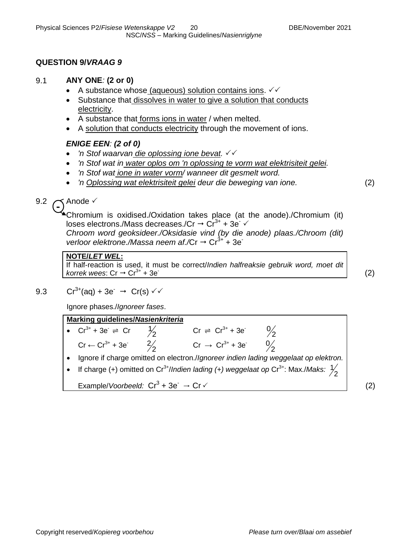## **QUESTION 9/***VRAAG 9*

## 9.1 **ANY ONE***:* **(2 or 0)**

- A substance whose (aqueous) solution contains ions.  $\sqrt{6}$
- Substance that dissolves in water to give a solution that conducts electricity.
- A substance that forms ions in water / when melted.
- A solution that conducts electricity through the movement of ions.

## *ENIGE EEN: (2 of 0)*

- *'n Stof waarvan die oplossing ione bevat.*
- *'n Stof wat in water oplos om 'n oplossing te vorm wat elektrisiteit gelei.*
- *'n Stof wat ione in water vorm/ wanneer dit gesmelt word.*
- *'n Oplossing wat elektrisiteit gelei deur die beweging van ione.* (2)

#### $\checkmark$  Anode  $\checkmark$  $9.2 \subset$

Chromium is oxidised./Oxidation takes place (at the anode)./Chromium (it) loses electrons./Mass decreases./Cr  $\rightarrow$  Cr<sup>3+</sup> + 3e  $\checkmark$ 

*Chroom word geoksideer./Oksidasie vind (by die anode) plaas./Chroom (dit) verloor elektrone./Massa neem af./Cr* → Cr<sup>3+</sup> + 3e<sup>-</sup>

#### **NOTE/***LET WEL***:**

If half-reaction is used, it must be correct/*Indien halfreaksie gebruik word, moet dit korrek wees*:  $Cr \rightarrow Cr^{3+} + 3e^{-}$  $(2)$ 

$$
9.3 \qquad Cr^{3+}(aq) + 3e^- \rightarrow Cr(s) \vee \vee
$$

Ignore phases./*Ignoreer fases*.

| <b>Marking guidelines/Nasienkriteria</b>                                                                                |  |                                     |                                                                                     |  |
|-------------------------------------------------------------------------------------------------------------------------|--|-------------------------------------|-------------------------------------------------------------------------------------|--|
| • $Cr^{3+} + 3e^+ \rightleftharpoons Cr$                                                                                |  | $Cr \Rightarrow Cr^{3+} + 3e^T$ 0/2 |                                                                                     |  |
| $Cr \leftarrow Cr^{3+} + 3e^+$ $\frac{2}{2}$                                                                            |  | $Cr \to Cr^{3+} + 3e^-$ 0/2         |                                                                                     |  |
|                                                                                                                         |  |                                     | Ignore if charge omitted on electron./Ignoreer indien lading weggelaat op elektron. |  |
| • If charge (+) omitted on Cr <sup>3+</sup> /Indien lading (+) weggelaat op Cr <sup>3+</sup> : Max./Maks: $\frac{1}{2}$ |  |                                     |                                                                                     |  |
| Example/Voorbeeld: $Cr^3 + 3e^- \rightarrow Cr \checkmark$                                                              |  |                                     |                                                                                     |  |